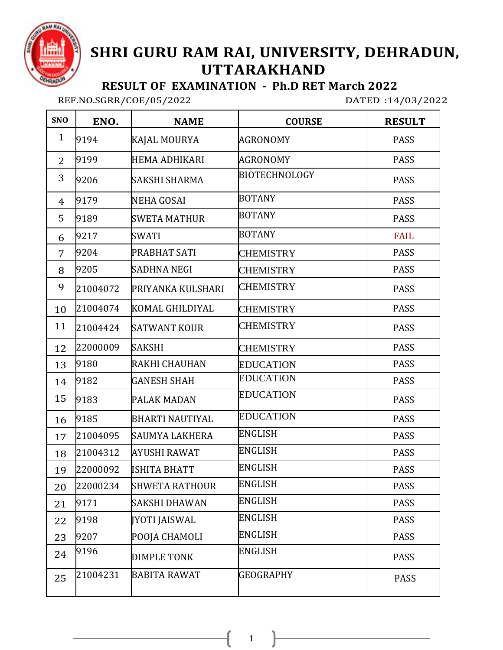

## **SHRI GURU RAM RAI, UNIVERSITY, DEHRADUN, UTTARAKHAND**

 **RESULT OF EXAMINATION - Ph.D RET March 2022**

REF.NO.SGRR/COE/05/2022 DATED :14/03/2022

| <b>SNO</b>     | ENO.     | <b>NAME</b>            | <b>COURSE</b>        | <b>RESULT</b> |
|----------------|----------|------------------------|----------------------|---------------|
| $\mathbf{1}$   | 9194     | KAJAL MOURYA           | AGRONOMY             | <b>PASS</b>   |
| $\overline{2}$ | 9199     | HEMA ADHIKARI          | <b>AGRONOMY</b>      | <b>PASS</b>   |
| 3              | 9206     | SAKSHI SHARMA          | <b>BIOTECHNOLOGY</b> | <b>PASS</b>   |
| 4              | 9179     | <b>NEHA GOSAI</b>      | <b>BOTANY</b>        | <b>PASS</b>   |
| 5              | 9189     | <b>SWETA MATHUR</b>    | <b>BOTANY</b>        | <b>PASS</b>   |
| 6              | 9217     | SWATI                  | <b>BOTANY</b>        | <b>FAIL</b>   |
| 7              | 9204     | PRABHAT SATI           | <b>CHEMISTRY</b>     | <b>PASS</b>   |
| 8              | 9205     | <b>SADHNA NEGI</b>     | <b>CHEMISTRY</b>     | <b>PASS</b>   |
| 9              | 21004072 | PRIYANKA KULSHARI      | <b>CHEMISTRY</b>     | <b>PASS</b>   |
| 10             | 21004074 | KOMAL GHILDIYAL        | <b>CHEMISTRY</b>     | <b>PASS</b>   |
| 11             | 21004424 | <b>SATWANT KOUR</b>    | <b>CHEMISTRY</b>     | <b>PASS</b>   |
| 12             | 22000009 | <b>SAKSHI</b>          | <b>CHEMISTRY</b>     | <b>PASS</b>   |
| 13             | 9180     | RAKHI CHAUHAN          | <b>EDUCATION</b>     | <b>PASS</b>   |
| 14             | 9182     | <b>GANESH SHAH</b>     | <b>EDUCATION</b>     | <b>PASS</b>   |
| 15             | 9183     | PALAK MADAN            | <b>EDUCATION</b>     | <b>PASS</b>   |
| 16             | 9185     | <b>BHARTI NAUTIYAL</b> | <b>EDUCATION</b>     | <b>PASS</b>   |
| 17             | 21004095 | <b>SAUMYA LAKHERA</b>  | <b>ENGLISH</b>       | <b>PASS</b>   |
| 18             | 21004312 | AYUSHI RAWAT           | <b>ENGLISH</b>       | <b>PASS</b>   |
| 19             | 22000092 | <b>ISHITA BHATT</b>    | <b>ENGLISH</b>       | <b>PASS</b>   |
| 20             | 22000234 | <b>SHWETA RATHOUR</b>  | <b>ENGLISH</b>       | <b>PASS</b>   |
| 21             | 9171     | SAKSHI DHAWAN          | <b>ENGLISH</b>       | <b>PASS</b>   |
| 22             | 9198     | <b>JYOTI JAISWAL</b>   | <b>ENGLISH</b>       | PASS          |
| 23             | 9207     | POOJA CHAMOLI          | <b>ENGLISH</b>       | <b>PASS</b>   |
| 24             | 9196     | <b>DIMPLE TONK</b>     | ENGLISH              | <b>PASS</b>   |
| 25             | 21004231 | <b>BABITA RAWAT</b>    | GEOGRAPHY            | PASS          |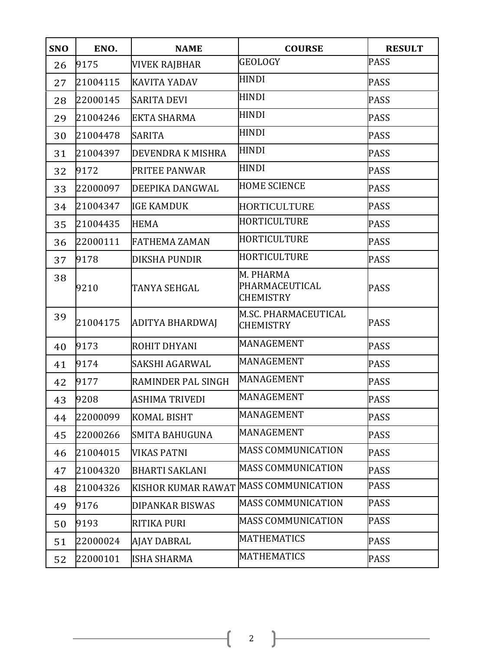| <b>SNO</b> | ENO.     | <b>NAME</b>               | <b>COURSE</b>                                   | <b>RESULT</b> |
|------------|----------|---------------------------|-------------------------------------------------|---------------|
| 26         | 9175     | <b>VIVEK RAJBHAR</b>      | <b>GEOLOGY</b>                                  | <b>PASS</b>   |
| 27         | 21004115 | <b>KAVITA YADAV</b>       | HINDI                                           | <b>PASS</b>   |
| 28         | 22000145 | <b>SARITA DEVI</b>        | <b>HINDI</b>                                    | <b>PASS</b>   |
| 29         | 21004246 | <b>EKTA SHARMA</b>        | HINDI                                           | <b>PASS</b>   |
| 30         | 21004478 | <b>SARITA</b>             | HINDI                                           | <b>PASS</b>   |
| 31         | 21004397 | DEVENDRA K MISHRA         | <b>HINDI</b>                                    | <b>PASS</b>   |
| 32         | 9172     | PRITEE PANWAR             | <b>HINDI</b>                                    | <b>PASS</b>   |
| 33         | 22000097 | DEEPIKA DANGWAL           | <b>HOME SCIENCE</b>                             | <b>PASS</b>   |
| 34         | 21004347 | <b>IGE KAMDUK</b>         | <b>HORTICULTURE</b>                             | <b>PASS</b>   |
| 35         | 21004435 | <b>HEMA</b>               | HORTICULTURE                                    | <b>PASS</b>   |
| 36         | 22000111 | <b>FATHEMA ZAMAN</b>      | HORTICULTURE                                    | <b>PASS</b>   |
| 37         | 9178     | <b>DIKSHA PUNDIR</b>      | HORTICULTURE                                    | <b>PASS</b>   |
| 38         | 9210     | TANYA SEHGAL              | M. PHARMA<br>PHARMACEUTICAL<br><b>CHEMISTRY</b> | <b>PASS</b>   |
| 39         | 21004175 | ADITYA BHARDWAJ           | M.SC. PHARMACEUTICAL<br><b>CHEMISTRY</b>        | <b>PASS</b>   |
| 40         | 9173     | ROHIT DHYANI              | MANAGEMENT                                      | <b>PASS</b>   |
| 41         | 9174     | SAKSHI AGARWAL            | MANAGEMENT                                      | <b>PASS</b>   |
| 42         | 9177     | RAMINDER PAL SINGH        | MANAGEMENT                                      | <b>PASS</b>   |
| 43         | 9208     | <b>ASHIMA TRIVEDI</b>     | MANAGEMENT                                      | <b>PASS</b>   |
| 44         | 22000099 | <b>KOMAL BISHT</b>        | MANAGEMENT                                      | <b>PASS</b>   |
| 45         | 22000266 | SMITA BAHUGUNA            | MANAGEMENT                                      | <b>PASS</b>   |
| 46         | 21004015 | VIKAS PATNI               | <b>MASS COMMUNICATION</b>                       | <b>PASS</b>   |
| 47         | 21004320 | <b>BHARTI SAKLANI</b>     | <b>MASS COMMUNICATION</b>                       | <b>PASS</b>   |
| 48         | 21004326 | <b>KISHOR KUMAR RAWAT</b> | <b>MASS COMMUNICATION</b>                       | PASS          |
| 49         | 9176     | <b>DIPANKAR BISWAS</b>    | <b>MASS COMMUNICATION</b>                       | <b>PASS</b>   |
| 50         | 9193     | RITIKA PURI               | <b>MASS COMMUNICATION</b>                       | <b>PASS</b>   |
| 51         | 22000024 | AJAY DABRAL               | MATHEMATICS                                     | <b>PASS</b>   |
| 52         | 22000101 | <b>ISHA SHARMA</b>        | <b>MATHEMATICS</b>                              | <b>PASS</b>   |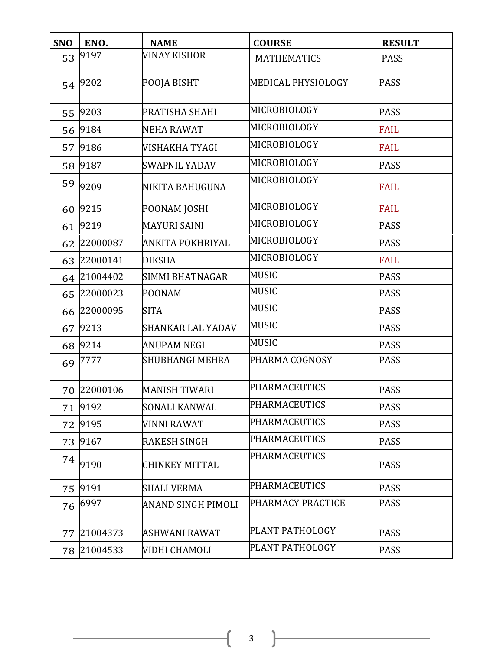| <b>SNO</b> | ENO.        | <b>NAME</b>              | <b>COURSE</b>        | <b>RESULT</b> |
|------------|-------------|--------------------------|----------------------|---------------|
| 53         | 9197        | VINAY KISHOR             | <b>MATHEMATICS</b>   | <b>PASS</b>   |
| 54         | 9202        | POOJA BISHT              | MEDICAL PHYSIOLOGY   | <b>PASS</b>   |
| 55         | 9203        | PRATISHA SHAHI           | MICROBIOLOGY         | <b>PASS</b>   |
| 56         | 9184        | <b>NEHA RAWAT</b>        | MICROBIOLOGY         | <b>FAIL</b>   |
| 57         | 9186        | VISHAKHA TYAGI           | MICROBIOLOGY         | <b>FAIL</b>   |
| 58         | 9187        | <b>SWAPNIL YADAV</b>     | MICROBIOLOGY         | <b>PASS</b>   |
| 59         | 9209        | NIKITA BAHUGUNA          | MICROBIOLOGY         | <b>FAIL</b>   |
| 60         | 9215        | POONAM JOSHI             | MICROBIOLOGY         | <b>FAIL</b>   |
| 61         | 9219        | <b>MAYURI SAINI</b>      | MICROBIOLOGY         | <b>PASS</b>   |
| 62         | 22000087    | ANKITA POKHRIYAL         | MICROBIOLOGY         | <b>PASS</b>   |
| 63         | 22000141    | <b>DIKSHA</b>            | MICROBIOLOGY         | <b>FAIL</b>   |
| 64         | 21004402    | SIMMI BHATNAGAR          | <b>MUSIC</b>         | <b>PASS</b>   |
| 65         | 22000023    | <b>POONAM</b>            | <b>MUSIC</b>         | <b>PASS</b>   |
|            | 66 22000095 | <b>SITA</b>              | <b>MUSIC</b>         | <b>PASS</b>   |
| 67         | 9213        | <b>SHANKAR LAL YADAV</b> | <b>MUSIC</b>         | <b>PASS</b>   |
| 68         | 9214        | <b>ANUPAM NEGI</b>       | <b>MUSIC</b>         | <b>PASS</b>   |
| 69         | 7777        | <b>SHUBHANGI MEHRA</b>   | PHARMA COGNOSY       | <b>PASS</b>   |
|            | 70 22000106 | <b>MANISH TIWARI</b>     | <b>PHARMACEUTICS</b> | <b>PASS</b>   |
|            | 71 9192     | <b>SONALI KANWAL</b>     | <b>PHARMACEUTICS</b> | <b>PASS</b>   |
| 72         | 9195        | VINNI RAWAT              | <b>PHARMACEUTICS</b> | <b>PASS</b>   |
| 73         | 9167        | <b>RAKESH SINGH</b>      | <b>PHARMACEUTICS</b> | <b>PASS</b>   |
| 74         | 9190        | <b>CHINKEY MITTAL</b>    | <b>PHARMACEUTICS</b> | <b>PASS</b>   |
| 75         | 9191        | <b>SHALI VERMA</b>       | <b>PHARMACEUTICS</b> | <b>PASS</b>   |
| 76         | 6997        | ANAND SINGH PIMOLI       | PHARMACY PRACTICE    | <b>PASS</b>   |
| 77         | 21004373    | ASHWANI RAWAT            | PLANT PATHOLOGY      | <b>PASS</b>   |
| 78         | 21004533    | VIDHI CHAMOLI            | PLANT PATHOLOGY      | <b>PASS</b>   |

 $\left( \begin{array}{c} 3 \end{array} \right)$